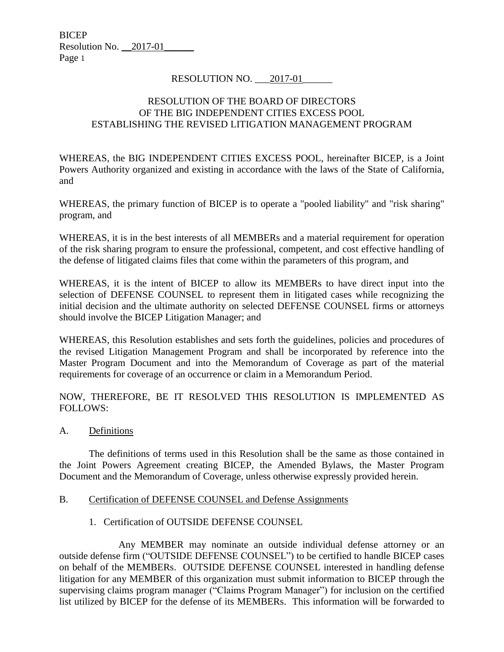## RESOLUTION NO. 2017-01

### RESOLUTION OF THE BOARD OF DIRECTORS OF THE BIG INDEPENDENT CITIES EXCESS POOL ESTABLISHING THE REVISED LITIGATION MANAGEMENT PROGRAM

WHEREAS, the BIG INDEPENDENT CITIES EXCESS POOL, hereinafter BICEP, is a Joint Powers Authority organized and existing in accordance with the laws of the State of California, and

WHEREAS, the primary function of BICEP is to operate a "pooled liability" and "risk sharing" program, and

WHEREAS, it is in the best interests of all MEMBERs and a material requirement for operation of the risk sharing program to ensure the professional, competent, and cost effective handling of the defense of litigated claims files that come within the parameters of this program, and

WHEREAS, it is the intent of BICEP to allow its MEMBERs to have direct input into the selection of DEFENSE COUNSEL to represent them in litigated cases while recognizing the initial decision and the ultimate authority on selected DEFENSE COUNSEL firms or attorneys should involve the BICEP Litigation Manager; and

WHEREAS, this Resolution establishes and sets forth the guidelines, policies and procedures of the revised Litigation Management Program and shall be incorporated by reference into the Master Program Document and into the Memorandum of Coverage as part of the material requirements for coverage of an occurrence or claim in a Memorandum Period.

NOW, THEREFORE, BE IT RESOLVED THIS RESOLUTION IS IMPLEMENTED AS FOLLOWS:

A. Definitions

The definitions of terms used in this Resolution shall be the same as those contained in the Joint Powers Agreement creating BICEP, the Amended Bylaws, the Master Program Document and the Memorandum of Coverage, unless otherwise expressly provided herein.

#### B. Certification of DEFENSE COUNSEL and Defense Assignments

1. Certification of OUTSIDE DEFENSE COUNSEL

Any MEMBER may nominate an outside individual defense attorney or an outside defense firm ("OUTSIDE DEFENSE COUNSEL") to be certified to handle BICEP cases on behalf of the MEMBERs. OUTSIDE DEFENSE COUNSEL interested in handling defense litigation for any MEMBER of this organization must submit information to BICEP through the supervising claims program manager ("Claims Program Manager") for inclusion on the certified list utilized by BICEP for the defense of its MEMBERs. This information will be forwarded to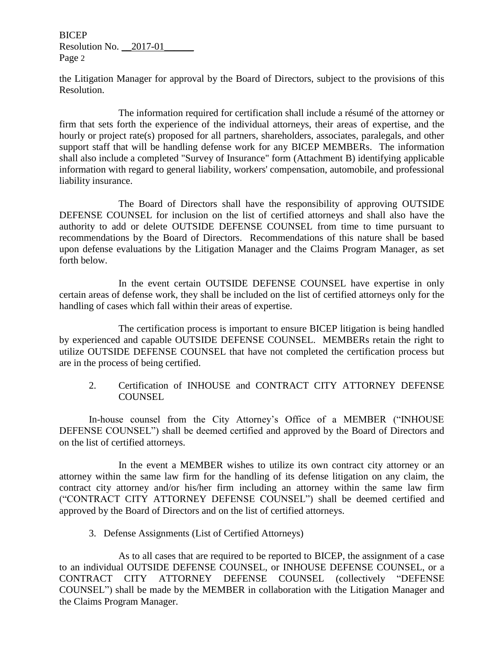the Litigation Manager for approval by the Board of Directors, subject to the provisions of this Resolution.

The information required for certification shall include a résumé of the attorney or firm that sets forth the experience of the individual attorneys, their areas of expertise, and the hourly or project rate(s) proposed for all partners, shareholders, associates, paralegals, and other support staff that will be handling defense work for any BICEP MEMBERs. The information shall also include a completed "Survey of Insurance" form (Attachment B) identifying applicable information with regard to general liability, workers' compensation, automobile, and professional liability insurance.

The Board of Directors shall have the responsibility of approving OUTSIDE DEFENSE COUNSEL for inclusion on the list of certified attorneys and shall also have the authority to add or delete OUTSIDE DEFENSE COUNSEL from time to time pursuant to recommendations by the Board of Directors. Recommendations of this nature shall be based upon defense evaluations by the Litigation Manager and the Claims Program Manager, as set forth below.

In the event certain OUTSIDE DEFENSE COUNSEL have expertise in only certain areas of defense work, they shall be included on the list of certified attorneys only for the handling of cases which fall within their areas of expertise.

The certification process is important to ensure BICEP litigation is being handled by experienced and capable OUTSIDE DEFENSE COUNSEL. MEMBERs retain the right to utilize OUTSIDE DEFENSE COUNSEL that have not completed the certification process but are in the process of being certified.

2. Certification of INHOUSE and CONTRACT CITY ATTORNEY DEFENSE COUNSEL

In-house counsel from the City Attorney's Office of a MEMBER ("INHOUSE DEFENSE COUNSEL") shall be deemed certified and approved by the Board of Directors and on the list of certified attorneys.

In the event a MEMBER wishes to utilize its own contract city attorney or an attorney within the same law firm for the handling of its defense litigation on any claim, the contract city attorney and/or his/her firm including an attorney within the same law firm ("CONTRACT CITY ATTORNEY DEFENSE COUNSEL") shall be deemed certified and approved by the Board of Directors and on the list of certified attorneys.

3. Defense Assignments (List of Certified Attorneys)

As to all cases that are required to be reported to BICEP, the assignment of a case to an individual OUTSIDE DEFENSE COUNSEL, or INHOUSE DEFENSE COUNSEL, or a CONTRACT CITY ATTORNEY DEFENSE COUNSEL (collectively "DEFENSE COUNSEL") shall be made by the MEMBER in collaboration with the Litigation Manager and the Claims Program Manager.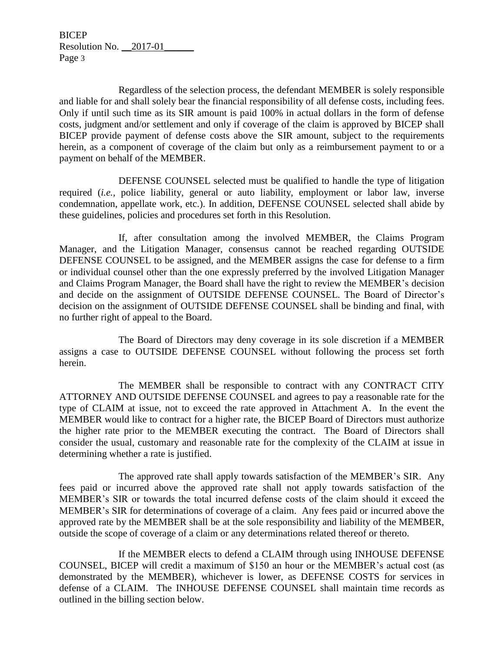Regardless of the selection process, the defendant MEMBER is solely responsible and liable for and shall solely bear the financial responsibility of all defense costs, including fees. Only if until such time as its SIR amount is paid 100% in actual dollars in the form of defense costs, judgment and/or settlement and only if coverage of the claim is approved by BICEP shall BICEP provide payment of defense costs above the SIR amount, subject to the requirements herein, as a component of coverage of the claim but only as a reimbursement payment to or a payment on behalf of the MEMBER.

DEFENSE COUNSEL selected must be qualified to handle the type of litigation required (*i.e.,* police liability, general or auto liability, employment or labor law, inverse condemnation, appellate work, etc.). In addition, DEFENSE COUNSEL selected shall abide by these guidelines, policies and procedures set forth in this Resolution.

If, after consultation among the involved MEMBER, the Claims Program Manager, and the Litigation Manager, consensus cannot be reached regarding OUTSIDE DEFENSE COUNSEL to be assigned, and the MEMBER assigns the case for defense to a firm or individual counsel other than the one expressly preferred by the involved Litigation Manager and Claims Program Manager, the Board shall have the right to review the MEMBER's decision and decide on the assignment of OUTSIDE DEFENSE COUNSEL. The Board of Director's decision on the assignment of OUTSIDE DEFENSE COUNSEL shall be binding and final, with no further right of appeal to the Board.

The Board of Directors may deny coverage in its sole discretion if a MEMBER assigns a case to OUTSIDE DEFENSE COUNSEL without following the process set forth herein.

The MEMBER shall be responsible to contract with any CONTRACT CITY ATTORNEY AND OUTSIDE DEFENSE COUNSEL and agrees to pay a reasonable rate for the type of CLAIM at issue, not to exceed the rate approved in Attachment A. In the event the MEMBER would like to contract for a higher rate, the BICEP Board of Directors must authorize the higher rate prior to the MEMBER executing the contract. The Board of Directors shall consider the usual, customary and reasonable rate for the complexity of the CLAIM at issue in determining whether a rate is justified.

The approved rate shall apply towards satisfaction of the MEMBER's SIR. Any fees paid or incurred above the approved rate shall not apply towards satisfaction of the MEMBER's SIR or towards the total incurred defense costs of the claim should it exceed the MEMBER's SIR for determinations of coverage of a claim. Any fees paid or incurred above the approved rate by the MEMBER shall be at the sole responsibility and liability of the MEMBER, outside the scope of coverage of a claim or any determinations related thereof or thereto.

If the MEMBER elects to defend a CLAIM through using INHOUSE DEFENSE COUNSEL, BICEP will credit a maximum of \$150 an hour or the MEMBER's actual cost (as demonstrated by the MEMBER), whichever is lower, as DEFENSE COSTS for services in defense of a CLAIM. The INHOUSE DEFENSE COUNSEL shall maintain time records as outlined in the billing section below.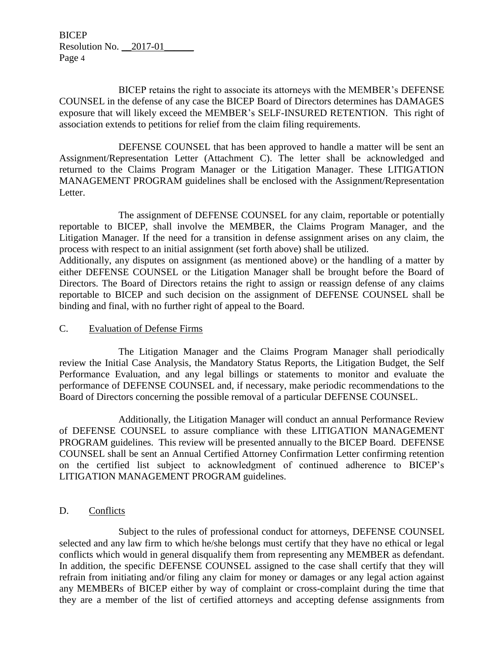BICEP retains the right to associate its attorneys with the MEMBER's DEFENSE COUNSEL in the defense of any case the BICEP Board of Directors determines has DAMAGES exposure that will likely exceed the MEMBER's SELF-INSURED RETENTION. This right of association extends to petitions for relief from the claim filing requirements.

DEFENSE COUNSEL that has been approved to handle a matter will be sent an Assignment/Representation Letter (Attachment C). The letter shall be acknowledged and returned to the Claims Program Manager or the Litigation Manager. These LITIGATION MANAGEMENT PROGRAM guidelines shall be enclosed with the Assignment/Representation Letter.

The assignment of DEFENSE COUNSEL for any claim, reportable or potentially reportable to BICEP, shall involve the MEMBER, the Claims Program Manager, and the Litigation Manager. If the need for a transition in defense assignment arises on any claim, the process with respect to an initial assignment (set forth above) shall be utilized.

Additionally, any disputes on assignment (as mentioned above) or the handling of a matter by either DEFENSE COUNSEL or the Litigation Manager shall be brought before the Board of Directors. The Board of Directors retains the right to assign or reassign defense of any claims reportable to BICEP and such decision on the assignment of DEFENSE COUNSEL shall be binding and final, with no further right of appeal to the Board.

### C. Evaluation of Defense Firms

The Litigation Manager and the Claims Program Manager shall periodically review the Initial Case Analysis, the Mandatory Status Reports, the Litigation Budget, the Self Performance Evaluation, and any legal billings or statements to monitor and evaluate the performance of DEFENSE COUNSEL and, if necessary, make periodic recommendations to the Board of Directors concerning the possible removal of a particular DEFENSE COUNSEL.

Additionally, the Litigation Manager will conduct an annual Performance Review of DEFENSE COUNSEL to assure compliance with these LITIGATION MANAGEMENT PROGRAM guidelines. This review will be presented annually to the BICEP Board. DEFENSE COUNSEL shall be sent an Annual Certified Attorney Confirmation Letter confirming retention on the certified list subject to acknowledgment of continued adherence to BICEP's LITIGATION MANAGEMENT PROGRAM guidelines.

### D. Conflicts

Subject to the rules of professional conduct for attorneys, DEFENSE COUNSEL selected and any law firm to which he/she belongs must certify that they have no ethical or legal conflicts which would in general disqualify them from representing any MEMBER as defendant. In addition, the specific DEFENSE COUNSEL assigned to the case shall certify that they will refrain from initiating and/or filing any claim for money or damages or any legal action against any MEMBERs of BICEP either by way of complaint or cross-complaint during the time that they are a member of the list of certified attorneys and accepting defense assignments from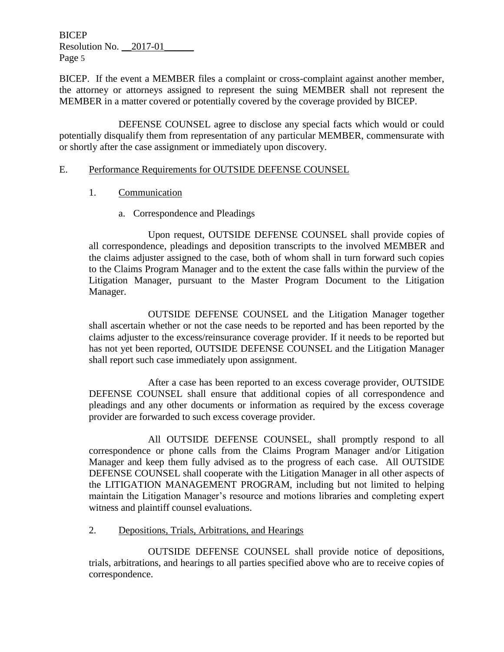BICEP. If the event a MEMBER files a complaint or cross-complaint against another member, the attorney or attorneys assigned to represent the suing MEMBER shall not represent the MEMBER in a matter covered or potentially covered by the coverage provided by BICEP.

DEFENSE COUNSEL agree to disclose any special facts which would or could potentially disqualify them from representation of any particular MEMBER, commensurate with or shortly after the case assignment or immediately upon discovery.

### E. Performance Requirements for OUTSIDE DEFENSE COUNSEL

- 1. Communication
	- a. Correspondence and Pleadings

Upon request, OUTSIDE DEFENSE COUNSEL shall provide copies of all correspondence, pleadings and deposition transcripts to the involved MEMBER and the claims adjuster assigned to the case, both of whom shall in turn forward such copies to the Claims Program Manager and to the extent the case falls within the purview of the Litigation Manager, pursuant to the Master Program Document to the Litigation Manager.

OUTSIDE DEFENSE COUNSEL and the Litigation Manager together shall ascertain whether or not the case needs to be reported and has been reported by the claims adjuster to the excess/reinsurance coverage provider. If it needs to be reported but has not yet been reported, OUTSIDE DEFENSE COUNSEL and the Litigation Manager shall report such case immediately upon assignment.

After a case has been reported to an excess coverage provider, OUTSIDE DEFENSE COUNSEL shall ensure that additional copies of all correspondence and pleadings and any other documents or information as required by the excess coverage provider are forwarded to such excess coverage provider.

All OUTSIDE DEFENSE COUNSEL, shall promptly respond to all correspondence or phone calls from the Claims Program Manager and/or Litigation Manager and keep them fully advised as to the progress of each case. All OUTSIDE DEFENSE COUNSEL shall cooperate with the Litigation Manager in all other aspects of the LITIGATION MANAGEMENT PROGRAM, including but not limited to helping maintain the Litigation Manager's resource and motions libraries and completing expert witness and plaintiff counsel evaluations.

### 2. Depositions, Trials, Arbitrations, and Hearings

OUTSIDE DEFENSE COUNSEL shall provide notice of depositions, trials, arbitrations, and hearings to all parties specified above who are to receive copies of correspondence.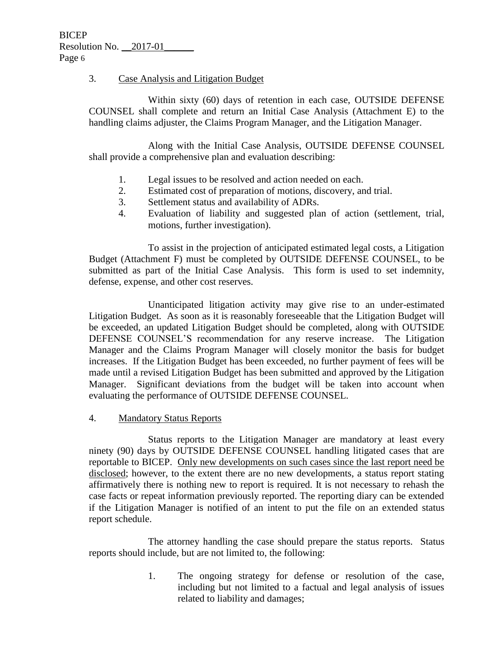### 3. Case Analysis and Litigation Budget

Within sixty (60) days of retention in each case, OUTSIDE DEFENSE COUNSEL shall complete and return an Initial Case Analysis (Attachment E) to the handling claims adjuster, the Claims Program Manager, and the Litigation Manager.

Along with the Initial Case Analysis, OUTSIDE DEFENSE COUNSEL shall provide a comprehensive plan and evaluation describing:

- 1. Legal issues to be resolved and action needed on each.
- 2. Estimated cost of preparation of motions, discovery, and trial.
- 3. Settlement status and availability of ADRs.
- 4. Evaluation of liability and suggested plan of action (settlement, trial, motions, further investigation).

To assist in the projection of anticipated estimated legal costs, a Litigation Budget (Attachment F) must be completed by OUTSIDE DEFENSE COUNSEL, to be submitted as part of the Initial Case Analysis. This form is used to set indemnity, defense, expense, and other cost reserves.

Unanticipated litigation activity may give rise to an under-estimated Litigation Budget. As soon as it is reasonably foreseeable that the Litigation Budget will be exceeded, an updated Litigation Budget should be completed, along with OUTSIDE DEFENSE COUNSEL'S recommendation for any reserve increase. The Litigation Manager and the Claims Program Manager will closely monitor the basis for budget increases. If the Litigation Budget has been exceeded, no further payment of fees will be made until a revised Litigation Budget has been submitted and approved by the Litigation Manager. Significant deviations from the budget will be taken into account when evaluating the performance of OUTSIDE DEFENSE COUNSEL.

### 4. Mandatory Status Reports

Status reports to the Litigation Manager are mandatory at least every ninety (90) days by OUTSIDE DEFENSE COUNSEL handling litigated cases that are reportable to BICEP. Only new developments on such cases since the last report need be disclosed; however, to the extent there are no new developments, a status report stating affirmatively there is nothing new to report is required. It is not necessary to rehash the case facts or repeat information previously reported. The reporting diary can be extended if the Litigation Manager is notified of an intent to put the file on an extended status report schedule.

The attorney handling the case should prepare the status reports. Status reports should include, but are not limited to, the following:

> 1. The ongoing strategy for defense or resolution of the case, including but not limited to a factual and legal analysis of issues related to liability and damages;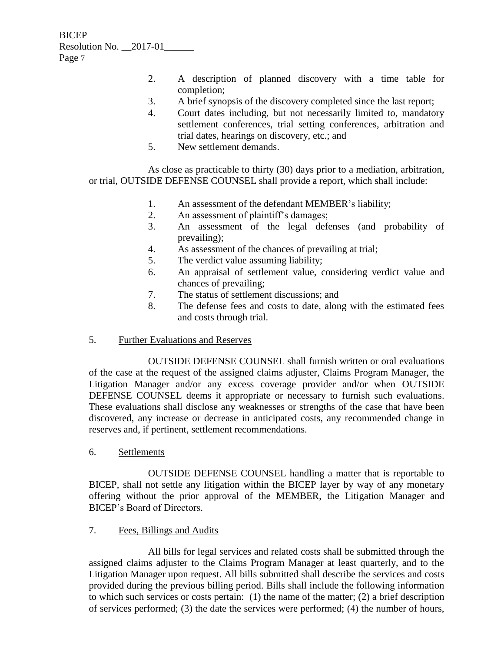- 2. A description of planned discovery with a time table for completion;
- 3. A brief synopsis of the discovery completed since the last report;
- 4. Court dates including, but not necessarily limited to, mandatory settlement conferences, trial setting conferences, arbitration and trial dates, hearings on discovery, etc.; and
- 5. New settlement demands.

As close as practicable to thirty (30) days prior to a mediation, arbitration, or trial, OUTSIDE DEFENSE COUNSEL shall provide a report, which shall include:

- 1. An assessment of the defendant MEMBER's liability;
- 2. An assessment of plaintiff's damages;
- 3. An assessment of the legal defenses (and probability of prevailing);
- 4. As assessment of the chances of prevailing at trial;
- 5. The verdict value assuming liability;
- 6. An appraisal of settlement value, considering verdict value and chances of prevailing;
- 7. The status of settlement discussions; and
- 8. The defense fees and costs to date, along with the estimated fees and costs through trial.
- 5. Further Evaluations and Reserves

OUTSIDE DEFENSE COUNSEL shall furnish written or oral evaluations of the case at the request of the assigned claims adjuster, Claims Program Manager, the Litigation Manager and/or any excess coverage provider and/or when OUTSIDE DEFENSE COUNSEL deems it appropriate or necessary to furnish such evaluations. These evaluations shall disclose any weaknesses or strengths of the case that have been discovered, any increase or decrease in anticipated costs, any recommended change in reserves and, if pertinent, settlement recommendations.

6. Settlements

OUTSIDE DEFENSE COUNSEL handling a matter that is reportable to BICEP, shall not settle any litigation within the BICEP layer by way of any monetary offering without the prior approval of the MEMBER, the Litigation Manager and BICEP's Board of Directors.

7. Fees, Billings and Audits

All bills for legal services and related costs shall be submitted through the assigned claims adjuster to the Claims Program Manager at least quarterly, and to the Litigation Manager upon request. All bills submitted shall describe the services and costs provided during the previous billing period. Bills shall include the following information to which such services or costs pertain: (1) the name of the matter; (2) a brief description of services performed; (3) the date the services were performed; (4) the number of hours,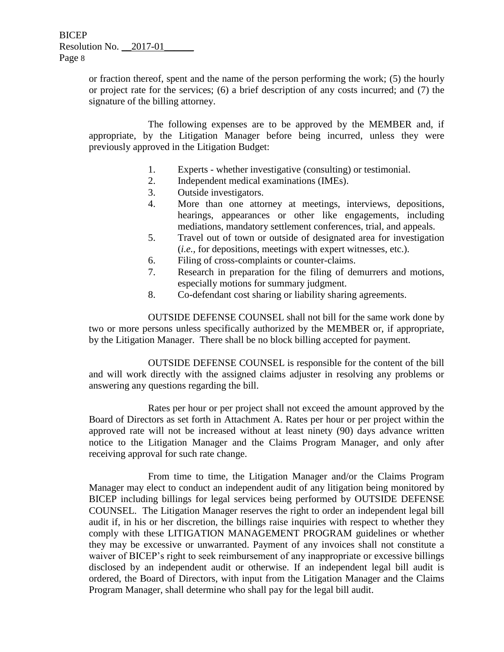> or fraction thereof, spent and the name of the person performing the work; (5) the hourly or project rate for the services; (6) a brief description of any costs incurred; and (7) the signature of the billing attorney.

> The following expenses are to be approved by the MEMBER and, if appropriate, by the Litigation Manager before being incurred, unless they were previously approved in the Litigation Budget:

- 1. Experts whether investigative (consulting) or testimonial.
- 2. Independent medical examinations (IMEs).
- 3. Outside investigators.
- 4. More than one attorney at meetings, interviews, depositions, hearings, appearances or other like engagements, including mediations, mandatory settlement conferences, trial, and appeals.
- 5. Travel out of town or outside of designated area for investigation (*i.e.,* for depositions, meetings with expert witnesses, etc.).
- 6. Filing of cross-complaints or counter-claims.
- 7. Research in preparation for the filing of demurrers and motions, especially motions for summary judgment.
- 8. Co-defendant cost sharing or liability sharing agreements.

OUTSIDE DEFENSE COUNSEL shall not bill for the same work done by two or more persons unless specifically authorized by the MEMBER or, if appropriate, by the Litigation Manager. There shall be no block billing accepted for payment.

OUTSIDE DEFENSE COUNSEL is responsible for the content of the bill and will work directly with the assigned claims adjuster in resolving any problems or answering any questions regarding the bill.

Rates per hour or per project shall not exceed the amount approved by the Board of Directors as set forth in Attachment A. Rates per hour or per project within the approved rate will not be increased without at least ninety (90) days advance written notice to the Litigation Manager and the Claims Program Manager, and only after receiving approval for such rate change.

From time to time, the Litigation Manager and/or the Claims Program Manager may elect to conduct an independent audit of any litigation being monitored by BICEP including billings for legal services being performed by OUTSIDE DEFENSE COUNSEL. The Litigation Manager reserves the right to order an independent legal bill audit if, in his or her discretion, the billings raise inquiries with respect to whether they comply with these LITIGATION MANAGEMENT PROGRAM guidelines or whether they may be excessive or unwarranted. Payment of any invoices shall not constitute a waiver of BICEP's right to seek reimbursement of any inappropriate or excessive billings disclosed by an independent audit or otherwise. If an independent legal bill audit is ordered, the Board of Directors, with input from the Litigation Manager and the Claims Program Manager, shall determine who shall pay for the legal bill audit.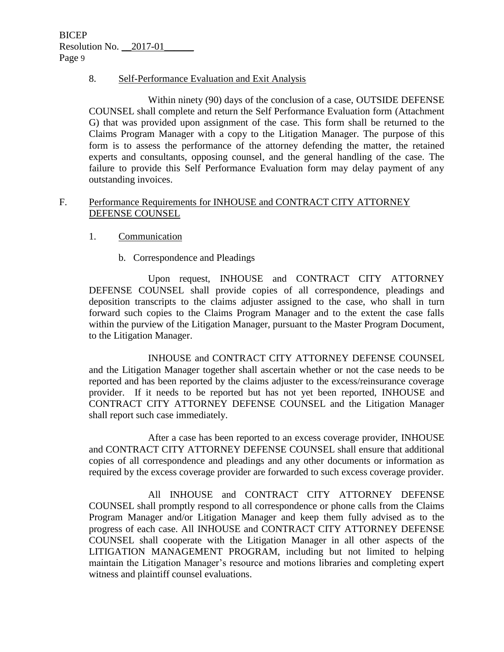### 8. Self-Performance Evaluation and Exit Analysis

Within ninety (90) days of the conclusion of a case, OUTSIDE DEFENSE COUNSEL shall complete and return the Self Performance Evaluation form (Attachment G) that was provided upon assignment of the case. This form shall be returned to the Claims Program Manager with a copy to the Litigation Manager. The purpose of this form is to assess the performance of the attorney defending the matter, the retained experts and consultants, opposing counsel, and the general handling of the case. The failure to provide this Self Performance Evaluation form may delay payment of any outstanding invoices.

### F. Performance Requirements for INHOUSE and CONTRACT CITY ATTORNEY DEFENSE COUNSEL

### 1. Communication

b. Correspondence and Pleadings

Upon request, INHOUSE and CONTRACT CITY ATTORNEY DEFENSE COUNSEL shall provide copies of all correspondence, pleadings and deposition transcripts to the claims adjuster assigned to the case, who shall in turn forward such copies to the Claims Program Manager and to the extent the case falls within the purview of the Litigation Manager, pursuant to the Master Program Document, to the Litigation Manager.

INHOUSE and CONTRACT CITY ATTORNEY DEFENSE COUNSEL and the Litigation Manager together shall ascertain whether or not the case needs to be reported and has been reported by the claims adjuster to the excess/reinsurance coverage provider. If it needs to be reported but has not yet been reported, INHOUSE and CONTRACT CITY ATTORNEY DEFENSE COUNSEL and the Litigation Manager shall report such case immediately.

After a case has been reported to an excess coverage provider, INHOUSE and CONTRACT CITY ATTORNEY DEFENSE COUNSEL shall ensure that additional copies of all correspondence and pleadings and any other documents or information as required by the excess coverage provider are forwarded to such excess coverage provider.

All INHOUSE and CONTRACT CITY ATTORNEY DEFENSE COUNSEL shall promptly respond to all correspondence or phone calls from the Claims Program Manager and/or Litigation Manager and keep them fully advised as to the progress of each case. All INHOUSE and CONTRACT CITY ATTORNEY DEFENSE COUNSEL shall cooperate with the Litigation Manager in all other aspects of the LITIGATION MANAGEMENT PROGRAM, including but not limited to helping maintain the Litigation Manager's resource and motions libraries and completing expert witness and plaintiff counsel evaluations.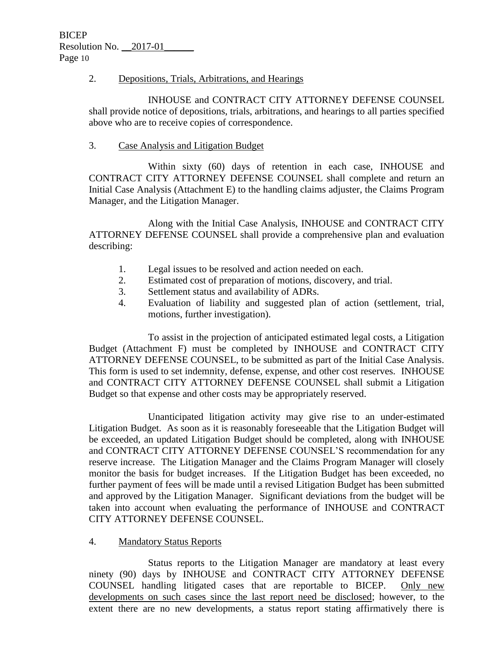### 2. Depositions, Trials, Arbitrations, and Hearings

INHOUSE and CONTRACT CITY ATTORNEY DEFENSE COUNSEL shall provide notice of depositions, trials, arbitrations, and hearings to all parties specified above who are to receive copies of correspondence.

### 3. Case Analysis and Litigation Budget

Within sixty (60) days of retention in each case, INHOUSE and CONTRACT CITY ATTORNEY DEFENSE COUNSEL shall complete and return an Initial Case Analysis (Attachment E) to the handling claims adjuster, the Claims Program Manager, and the Litigation Manager.

Along with the Initial Case Analysis, INHOUSE and CONTRACT CITY ATTORNEY DEFENSE COUNSEL shall provide a comprehensive plan and evaluation describing:

- 1. Legal issues to be resolved and action needed on each.
- 2. Estimated cost of preparation of motions, discovery, and trial.
- 3. Settlement status and availability of ADRs.
- 4. Evaluation of liability and suggested plan of action (settlement, trial, motions, further investigation).

To assist in the projection of anticipated estimated legal costs, a Litigation Budget (Attachment F) must be completed by INHOUSE and CONTRACT CITY ATTORNEY DEFENSE COUNSEL, to be submitted as part of the Initial Case Analysis. This form is used to set indemnity, defense, expense, and other cost reserves. INHOUSE and CONTRACT CITY ATTORNEY DEFENSE COUNSEL shall submit a Litigation Budget so that expense and other costs may be appropriately reserved.

Unanticipated litigation activity may give rise to an under-estimated Litigation Budget. As soon as it is reasonably foreseeable that the Litigation Budget will be exceeded, an updated Litigation Budget should be completed, along with INHOUSE and CONTRACT CITY ATTORNEY DEFENSE COUNSEL'S recommendation for any reserve increase. The Litigation Manager and the Claims Program Manager will closely monitor the basis for budget increases. If the Litigation Budget has been exceeded, no further payment of fees will be made until a revised Litigation Budget has been submitted and approved by the Litigation Manager. Significant deviations from the budget will be taken into account when evaluating the performance of INHOUSE and CONTRACT CITY ATTORNEY DEFENSE COUNSEL.

### 4. Mandatory Status Reports

Status reports to the Litigation Manager are mandatory at least every ninety (90) days by INHOUSE and CONTRACT CITY ATTORNEY DEFENSE COUNSEL handling litigated cases that are reportable to BICEP. Only new developments on such cases since the last report need be disclosed; however, to the extent there are no new developments, a status report stating affirmatively there is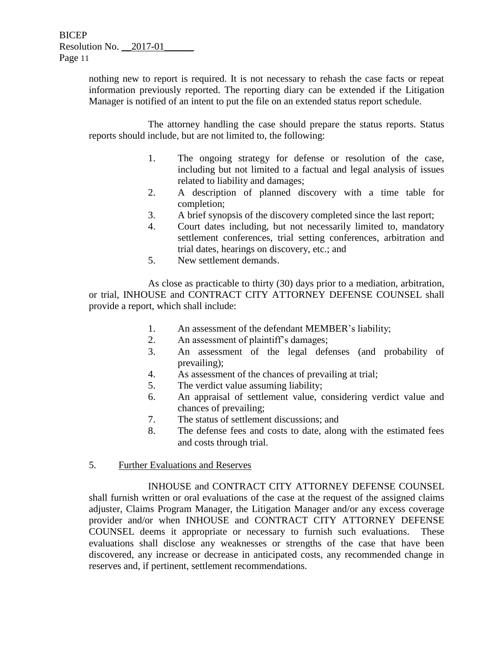> nothing new to report is required. It is not necessary to rehash the case facts or repeat information previously reported. The reporting diary can be extended if the Litigation Manager is notified of an intent to put the file on an extended status report schedule.

> The attorney handling the case should prepare the status reports. Status reports should include, but are not limited to, the following:

- 1. The ongoing strategy for defense or resolution of the case, including but not limited to a factual and legal analysis of issues related to liability and damages;
- 2. A description of planned discovery with a time table for completion;
- 3. A brief synopsis of the discovery completed since the last report;
- 4. Court dates including, but not necessarily limited to, mandatory settlement conferences, trial setting conferences, arbitration and trial dates, hearings on discovery, etc.; and
- 5. New settlement demands.

As close as practicable to thirty (30) days prior to a mediation, arbitration, or trial, INHOUSE and CONTRACT CITY ATTORNEY DEFENSE COUNSEL shall provide a report, which shall include:

- 1. An assessment of the defendant MEMBER's liability;
- 2. An assessment of plaintiff's damages;
- 3. An assessment of the legal defenses (and probability of prevailing);
- 4. As assessment of the chances of prevailing at trial;
- 5. The verdict value assuming liability;
- 6. An appraisal of settlement value, considering verdict value and chances of prevailing;
- 7. The status of settlement discussions; and
- 8. The defense fees and costs to date, along with the estimated fees and costs through trial.
- 5. Further Evaluations and Reserves

INHOUSE and CONTRACT CITY ATTORNEY DEFENSE COUNSEL shall furnish written or oral evaluations of the case at the request of the assigned claims adjuster, Claims Program Manager, the Litigation Manager and/or any excess coverage provider and/or when INHOUSE and CONTRACT CITY ATTORNEY DEFENSE COUNSEL deems it appropriate or necessary to furnish such evaluations. These evaluations shall disclose any weaknesses or strengths of the case that have been discovered, any increase or decrease in anticipated costs, any recommended change in reserves and, if pertinent, settlement recommendations.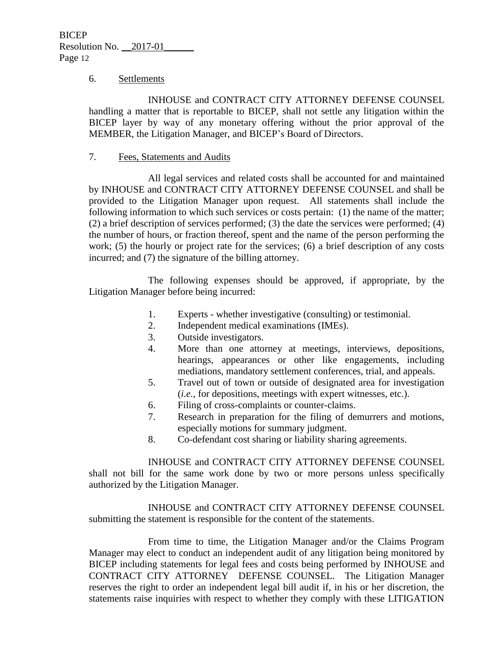#### 6. Settlements

INHOUSE and CONTRACT CITY ATTORNEY DEFENSE COUNSEL handling a matter that is reportable to BICEP, shall not settle any litigation within the BICEP layer by way of any monetary offering without the prior approval of the MEMBER, the Litigation Manager, and BICEP's Board of Directors.

### 7. Fees, Statements and Audits

All legal services and related costs shall be accounted for and maintained by INHOUSE and CONTRACT CITY ATTORNEY DEFENSE COUNSEL and shall be provided to the Litigation Manager upon request. All statements shall include the following information to which such services or costs pertain: (1) the name of the matter; (2) a brief description of services performed; (3) the date the services were performed; (4) the number of hours, or fraction thereof, spent and the name of the person performing the work; (5) the hourly or project rate for the services; (6) a brief description of any costs incurred; and (7) the signature of the billing attorney.

The following expenses should be approved, if appropriate, by the Litigation Manager before being incurred:

- 1. Experts whether investigative (consulting) or testimonial.
- 2. Independent medical examinations (IMEs).
- 3. Outside investigators.
- 4. More than one attorney at meetings, interviews, depositions, hearings, appearances or other like engagements, including mediations, mandatory settlement conferences, trial, and appeals.
- 5. Travel out of town or outside of designated area for investigation (*i.e.,* for depositions, meetings with expert witnesses, etc.).
- 6. Filing of cross-complaints or counter-claims.
- 7. Research in preparation for the filing of demurrers and motions, especially motions for summary judgment.
- 8. Co-defendant cost sharing or liability sharing agreements.

INHOUSE and CONTRACT CITY ATTORNEY DEFENSE COUNSEL shall not bill for the same work done by two or more persons unless specifically authorized by the Litigation Manager.

INHOUSE and CONTRACT CITY ATTORNEY DEFENSE COUNSEL submitting the statement is responsible for the content of the statements.

From time to time, the Litigation Manager and/or the Claims Program Manager may elect to conduct an independent audit of any litigation being monitored by BICEP including statements for legal fees and costs being performed by INHOUSE and CONTRACT CITY ATTORNEY DEFENSE COUNSEL. The Litigation Manager reserves the right to order an independent legal bill audit if, in his or her discretion, the statements raise inquiries with respect to whether they comply with these LITIGATION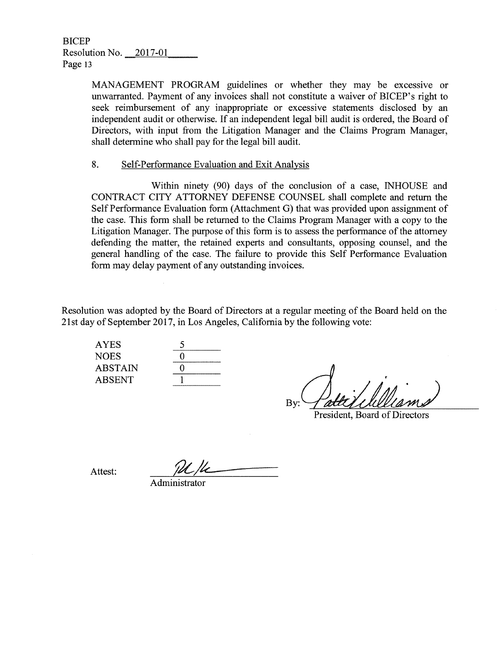> MANAGEMENT PROGRAM guidelines or whether they may be excessive or unwarranted. Payment of any invoices shall not constitute a waiver of BICEP's right to seek reimbursement of any inappropriate or excessive statements disclosed by an independent audit or otherwise. If an independent legal bill audit is ordered, the Board of Directors, with input from the Litigation Manager and the Claims Program Manager, shall determine who shall pay for the legal bill audit.

#### 8. Self-Performance Evaluation and Exit Analysis

Within ninety (90) days of the conclusion of a case, INHOUSE and CONTRACT CITY ATTORNEY DEFENSE COUNSEL shall complete and return the Self Performance Evaluation form (Attachment G) that was provided upon assignment of the case. This form shall be returned to the Claims Program Manager with a copy to the Litigation Manager. The purpose of this form is to assess the performance of the attorney defending the matter, the retained experts and consultants, opposing counsel, and the general handling of the case. The failure to provide this Self Performance Evaluation form may delay payment of any outstanding invoices.

Resolution was adopted by the Board of Directors at a regular meeting of the Board held on the 21st day of September 2017, in Los Angeles, California by the following vote:

**AYES NOES ABSTAIN ABSENT** 

| 5     |  |
|-------|--|
| 0     |  |
| 0     |  |
| 1<br> |  |

By:

President, Board of Directors

 $\overline{\mathcal{L}}$ Attest: M/L

Administrator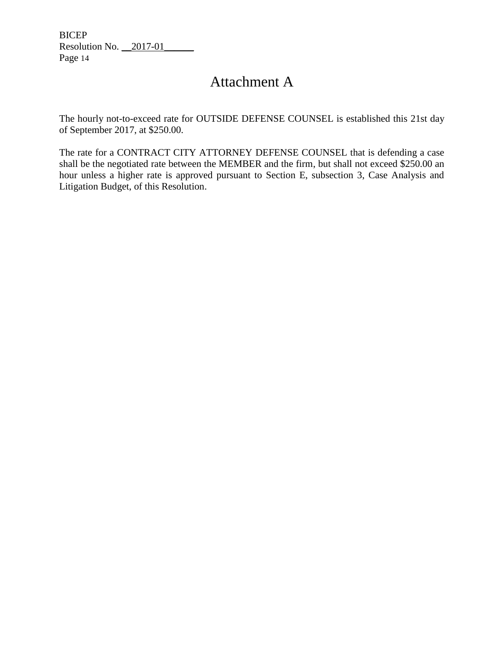# Attachment A

The hourly not-to-exceed rate for OUTSIDE DEFENSE COUNSEL is established this 21st day of September 2017, at \$250.00.

The rate for a CONTRACT CITY ATTORNEY DEFENSE COUNSEL that is defending a case shall be the negotiated rate between the MEMBER and the firm, but shall not exceed \$250.00 an hour unless a higher rate is approved pursuant to Section E, subsection 3, Case Analysis and Litigation Budget, of this Resolution.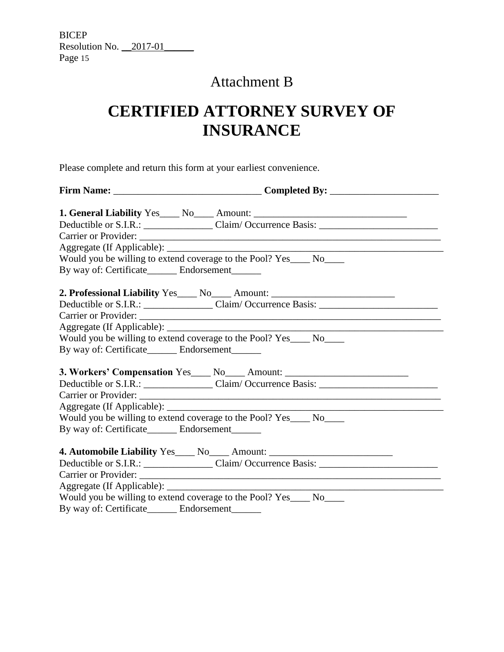# Attachment B

# **CERTIFIED ATTORNEY SURVEY OF INSURANCE**

Please complete and return this form at your earliest convenience.

|                                                                                                                                                                                                                               | 1. General Liability Yes ____ No ____ Amount: __________________________________                     |
|-------------------------------------------------------------------------------------------------------------------------------------------------------------------------------------------------------------------------------|------------------------------------------------------------------------------------------------------|
|                                                                                                                                                                                                                               | Deductible or S.I.R.: Claim/ Occurrence Basis: __________________________________                    |
|                                                                                                                                                                                                                               |                                                                                                      |
|                                                                                                                                                                                                                               |                                                                                                      |
|                                                                                                                                                                                                                               | Would you be willing to extend coverage to the Pool? Yes____ No____                                  |
| By way of: Certificate________ Endorsement______                                                                                                                                                                              |                                                                                                      |
|                                                                                                                                                                                                                               | 2. Professional Liability Yes___ No___ Amount: _________________________________                     |
|                                                                                                                                                                                                                               | Deductible or S.I.R.: _______________________Claim/Occurrence Basis: _______________________________ |
|                                                                                                                                                                                                                               |                                                                                                      |
|                                                                                                                                                                                                                               |                                                                                                      |
|                                                                                                                                                                                                                               | Would you be willing to extend coverage to the Pool? Yes____ No____                                  |
| By way of: Certificate________ Endorsement_______                                                                                                                                                                             |                                                                                                      |
|                                                                                                                                                                                                                               | 3. Workers' Compensation Yes____ No____ Amount: ________________________________                     |
|                                                                                                                                                                                                                               | Deductible or S.I.R.: Claim/Occurrence Basis: Claim 2008.                                            |
|                                                                                                                                                                                                                               |                                                                                                      |
|                                                                                                                                                                                                                               |                                                                                                      |
|                                                                                                                                                                                                                               | Would you be willing to extend coverage to the Pool? Yes____ No____                                  |
| By way of: Certificate_________ Endorsement_______                                                                                                                                                                            |                                                                                                      |
|                                                                                                                                                                                                                               | 4. Automobile Liability Yes____ No____ Amount: _________________________________                     |
|                                                                                                                                                                                                                               |                                                                                                      |
|                                                                                                                                                                                                                               |                                                                                                      |
|                                                                                                                                                                                                                               |                                                                                                      |
|                                                                                                                                                                                                                               | Would you be willing to extend coverage to the Pool? Yes_____ No_____                                |
| $P_1$ $Q_2$ $Q_3$ $Q_4$ $Q_5$ $Q_6$ $Q_7$ $Q_8$ $Q_9$ $Q_9$ $Q_9$ $Q_9$ $Q_9$ $Q_9$ $Q_9$ $Q_9$ $Q_9$ $Q_9$ $Q_9$ $Q_9$ $Q_9$ $Q_9$ $Q_9$ $Q_9$ $Q_9$ $Q_9$ $Q_9$ $Q_9$ $Q_9$ $Q_9$ $Q_9$ $Q_9$ $Q_9$ $Q_9$ $Q_9$ $Q_9$ $Q_9$ |                                                                                                      |

By way of: Certificate\_\_\_\_\_\_ Endorsement\_\_\_\_\_\_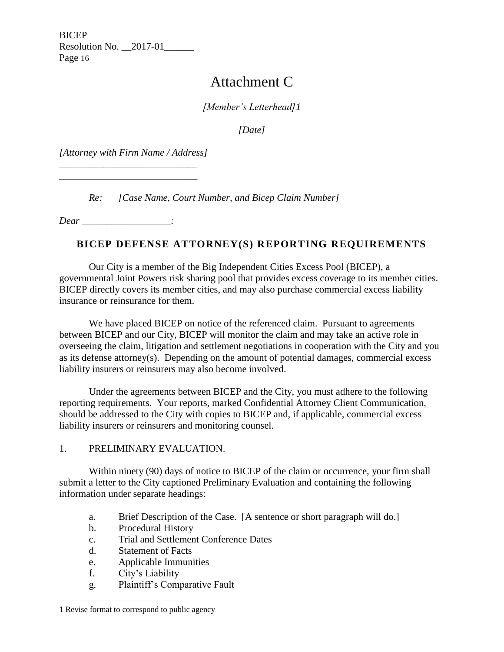# Attachment C

*[Member's Letterhead]1*

*[Date]*

*[Attorney with Firm Name / Address]*

\_\_\_\_\_\_\_\_\_\_\_\_\_\_\_\_\_\_\_\_\_\_\_\_\_\_\_\_ \_\_\_\_\_\_\_\_\_\_\_\_\_\_\_\_\_\_\_\_\_\_\_\_\_\_\_\_

*Re: [Case Name, Court Number, and Bicep Claim Number]*

*Dear \_\_\_\_\_\_\_\_\_\_\_\_\_\_\_\_\_\_:*

# **BICEP DEFENSE ATTORNEY(S) REPORTING REQUIREMENTS**

Our City is a member of the Big Independent Cities Excess Pool (BICEP), a governmental Joint Powers risk sharing pool that provides excess coverage to its member cities. BICEP directly covers its member cities, and may also purchase commercial excess liability insurance or reinsurance for them.

We have placed BICEP on notice of the referenced claim. Pursuant to agreements between BICEP and our City, BICEP will monitor the claim and may take an active role in overseeing the claim, litigation and settlement negotiations in cooperation with the City and you as its defense attorney(s). Depending on the amount of potential damages, commercial excess liability insurers or reinsurers may also become involved.

Under the agreements between BICEP and the City, you must adhere to the following reporting requirements. Your reports, marked Confidential Attorney Client Communication, should be addressed to the City with copies to BICEP and, if applicable, commercial excess liability insurers or reinsurers and monitoring counsel.

1. PRELIMINARY EVALUATION.

Within ninety (90) days of notice to BICEP of the claim or occurrence, your firm shall submit a letter to the City captioned Preliminary Evaluation and containing the following information under separate headings:

- a. Brief Description of the Case. [A sentence or short paragraph will do.]
- b. Procedural History
- c. Trial and Settlement Conference Dates
- d. Statement of Facts
- e. Applicable Immunities
- f. City's Liability
- g. Plaintiff's Comparative Fault

<sup>1</sup> Revise format to correspond to public agency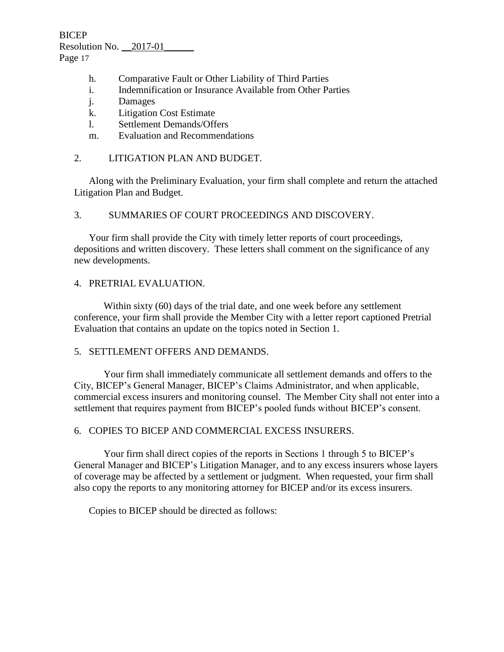- h. Comparative Fault or Other Liability of Third Parties
- i. Indemnification or Insurance Available from Other Parties
- j. Damages
- k. Litigation Cost Estimate
- l. Settlement Demands/Offers
- m. Evaluation and Recommendations

## 2. LITIGATION PLAN AND BUDGET.

Along with the Preliminary Evaluation, your firm shall complete and return the attached Litigation Plan and Budget.

## 3. SUMMARIES OF COURT PROCEEDINGS AND DISCOVERY.

Your firm shall provide the City with timely letter reports of court proceedings, depositions and written discovery. These letters shall comment on the significance of any new developments.

## 4. PRETRIAL EVALUATION.

Within sixty (60) days of the trial date, and one week before any settlement conference, your firm shall provide the Member City with a letter report captioned Pretrial Evaluation that contains an update on the topics noted in Section 1.

### 5. SETTLEMENT OFFERS AND DEMANDS.

Your firm shall immediately communicate all settlement demands and offers to the City, BICEP's General Manager, BICEP's Claims Administrator, and when applicable, commercial excess insurers and monitoring counsel. The Member City shall not enter into a settlement that requires payment from BICEP's pooled funds without BICEP's consent.

## 6. COPIES TO BICEP AND COMMERCIAL EXCESS INSURERS.

Your firm shall direct copies of the reports in Sections 1 through 5 to BICEP's General Manager and BICEP's Litigation Manager, and to any excess insurers whose layers of coverage may be affected by a settlement or judgment. When requested, your firm shall also copy the reports to any monitoring attorney for BICEP and/or its excess insurers.

Copies to BICEP should be directed as follows: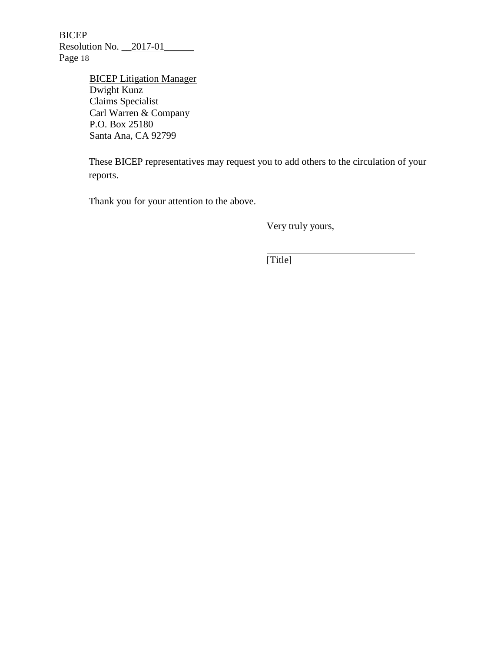BICEP Resolution No. \_\_2017-01\_\_\_\_\_\_ Page 18

> BICEP Litigation Manager Dwight Kunz Claims Specialist Carl Warren & Company P.O. Box 25180 Santa Ana, CA 92799

These BICEP representatives may request you to add others to the circulation of your reports.

Thank you for your attention to the above.

Very truly yours,

[Title]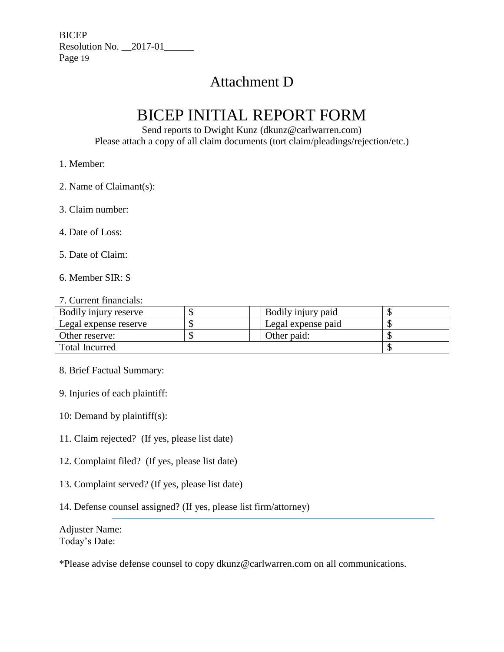# Attachment D

# BICEP INITIAL REPORT FORM

Send reports to Dwight Kunz (dkunz@carlwarren.com) Please attach a copy of all claim documents (tort claim/pleadings/rejection/etc.)

## 1. Member:

- 2. Name of Claimant(s):
- 3. Claim number:
- 4. Date of Loss:
- 5. Date of Claim:
- 6. Member SIR: \$

#### 7. Current financials:

| Bodily injury reserve | Bodily injury paid |  |
|-----------------------|--------------------|--|
| Legal expense reserve | Legal expense paid |  |
| Other reserve:        | Other paid:        |  |
| Total Incurred        |                    |  |

- 8. Brief Factual Summary:
- 9. Injuries of each plaintiff:
- 10: Demand by plaintiff(s):
- 11. Claim rejected? (If yes, please list date)
- 12. Complaint filed? (If yes, please list date)
- 13. Complaint served? (If yes, please list date)
- 14. Defense counsel assigned? (If yes, please list firm/attorney)

Adjuster Name: Today's Date:

\*Please advise defense counsel to copy dkunz@carlwarren.com on all communications.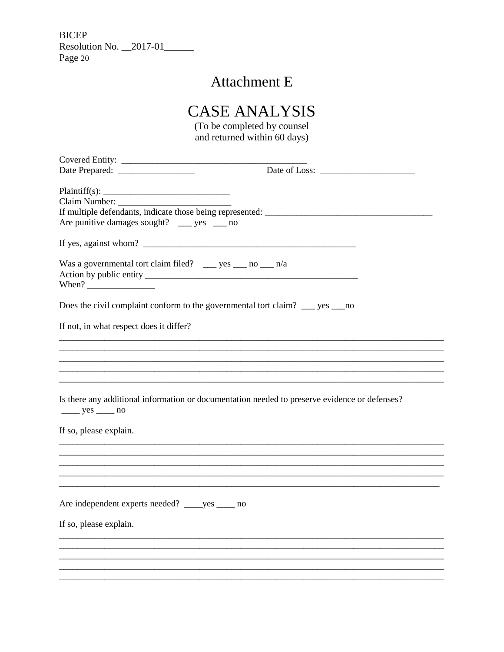# **Attachment E**

# **CASE ANALYSIS**

(To be completed by counsel and returned within 60 days)

| If multiple defendants, indicate those being represented: ______________________              |  |
|-----------------------------------------------------------------------------------------------|--|
| Are punitive damages sought? _____ yes _____ no                                               |  |
|                                                                                               |  |
| If yes, against whom? $\qquad \qquad$                                                         |  |
|                                                                                               |  |
| Was a governmental tort claim filed? _____ yes _____ no _____ n/a                             |  |
|                                                                                               |  |
|                                                                                               |  |
|                                                                                               |  |
| Does the civil complaint conform to the governmental tort claim? ___ yes ___ no               |  |
|                                                                                               |  |
| If not, in what respect does it differ?                                                       |  |
|                                                                                               |  |
|                                                                                               |  |
|                                                                                               |  |
|                                                                                               |  |
|                                                                                               |  |
|                                                                                               |  |
| Is there any additional information or documentation needed to preserve evidence or defenses? |  |
| $yes$ no                                                                                      |  |
|                                                                                               |  |
| If so, please explain.                                                                        |  |
|                                                                                               |  |
|                                                                                               |  |
|                                                                                               |  |
|                                                                                               |  |
|                                                                                               |  |
|                                                                                               |  |
| Are independent experts needed? _____ yes _____ no                                            |  |
|                                                                                               |  |
| If so, please explain.                                                                        |  |
|                                                                                               |  |
|                                                                                               |  |
|                                                                                               |  |
|                                                                                               |  |
|                                                                                               |  |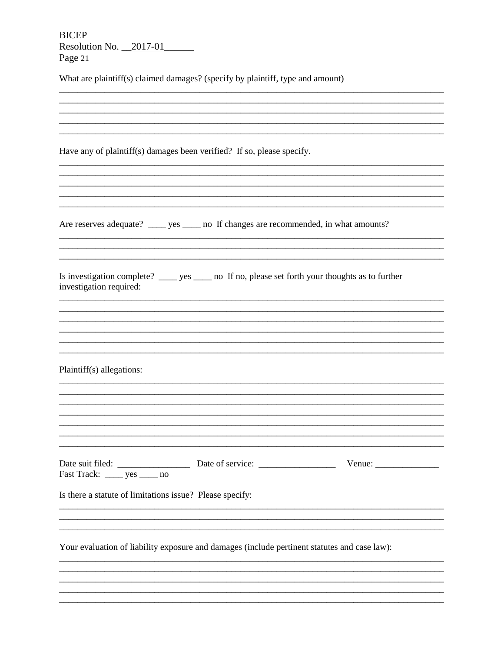**BICEP** Resolution No.  $\frac{2017-01}{201}$ Page 21

What are plaintiff(s) claimed damages? (specify by plaintiff, type and amount)

| Have any of plaintiff(s) damages been verified? If so, please specify.                                                         |                                                                                                                       |                  |
|--------------------------------------------------------------------------------------------------------------------------------|-----------------------------------------------------------------------------------------------------------------------|------------------|
|                                                                                                                                |                                                                                                                       |                  |
|                                                                                                                                |                                                                                                                       |                  |
|                                                                                                                                |                                                                                                                       |                  |
| Are reserves adequate? _____ yes _____ no If changes are recommended, in what amounts?                                         |                                                                                                                       |                  |
|                                                                                                                                |                                                                                                                       |                  |
| Is investigation complete? ______ yes ______ no If no, please set forth your thoughts as to further<br>investigation required: |                                                                                                                       |                  |
|                                                                                                                                |                                                                                                                       |                  |
|                                                                                                                                |                                                                                                                       |                  |
|                                                                                                                                |                                                                                                                       |                  |
| Plaintiff(s) allegations:                                                                                                      |                                                                                                                       |                  |
|                                                                                                                                |                                                                                                                       |                  |
|                                                                                                                                |                                                                                                                       |                  |
|                                                                                                                                |                                                                                                                       |                  |
|                                                                                                                                |                                                                                                                       |                  |
|                                                                                                                                |                                                                                                                       | $V$ enue: $\_\_$ |
| Is there a statute of limitations issue? Please specify:                                                                       |                                                                                                                       |                  |
|                                                                                                                                |                                                                                                                       |                  |
|                                                                                                                                |                                                                                                                       |                  |
| Your evaluation of liability exposure and damages (include pertinent statutes and case law):                                   |                                                                                                                       |                  |
|                                                                                                                                |                                                                                                                       |                  |
|                                                                                                                                | <u> 1989 - Johann Stoff, deutscher Stoff, der Stoff, der Stoff, der Stoff, der Stoff, der Stoff, der Stoff, der S</u> |                  |
|                                                                                                                                |                                                                                                                       |                  |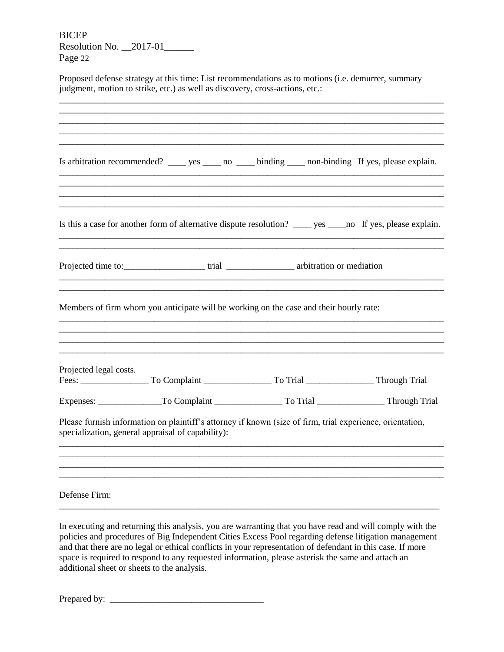BICEP Resolution No. \_\_2017-01\_\_\_\_\_\_ Page 22

Proposed defense strategy at this time: List recommendations as to motions (i.e. demurrer, summary judgment, motion to strike, etc.) as well as discovery, cross-actions, etc.:

|                        |                                                   | Is arbitration recommended? ______ yes ______ no ______ binding _____ non-binding If yes, please explain.       |  |
|------------------------|---------------------------------------------------|-----------------------------------------------------------------------------------------------------------------|--|
|                        |                                                   | Is this a case for another form of alternative dispute resolution? ______ yes ______ no If yes, please explain. |  |
|                        |                                                   |                                                                                                                 |  |
|                        |                                                   | Members of firm whom you anticipate will be working on the case and their hourly rate:                          |  |
| Projected legal costs. |                                                   |                                                                                                                 |  |
|                        |                                                   |                                                                                                                 |  |
|                        | specialization, general appraisal of capability): | Please furnish information on plaintiff's attorney if known (size of firm, trial experience, orientation,       |  |
|                        |                                                   |                                                                                                                 |  |
| Defense Firm:          |                                                   |                                                                                                                 |  |

In executing and returning this analysis, you are warranting that you have read and will comply with the policies and procedures of Big Independent Cities Excess Pool regarding defense litigation management and that there are no legal or ethical conflicts in your representation of defendant in this case. If more space is required to respond to any requested information, please asterisk the same and attach an additional sheet or sheets to the analysis.

Prepared by: \_\_\_\_\_\_\_\_\_\_\_\_\_\_\_\_\_\_\_\_\_\_\_\_\_\_\_\_\_\_\_\_\_\_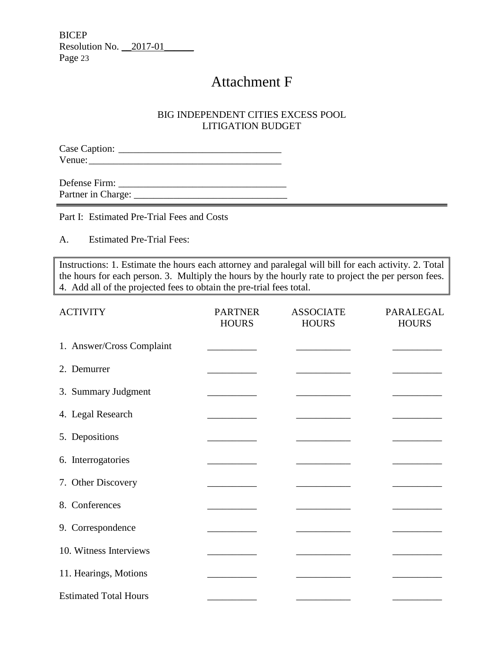**BICEP** Resolution No. \_\_2017-01\_\_\_\_\_\_ Page 23

# Attachment F

## BIG INDEPENDENT CITIES EXCESS POOL LITIGATION BUDGET

Case Caption: \_\_\_\_\_\_\_\_\_\_\_\_\_\_\_\_\_\_\_\_\_\_\_\_\_\_\_\_\_\_\_\_\_ Venue:

Defense Firm: \_\_\_\_\_\_\_\_\_\_\_\_\_\_\_\_\_\_\_\_\_\_\_\_\_\_\_\_\_\_\_\_\_\_ Partner in Charge: \_\_\_\_\_\_\_\_\_\_\_\_\_\_\_\_\_\_\_\_\_\_\_\_\_\_\_\_\_\_\_ the control of the control of the control of the control of the control of the control of

Part I: Estimated Pre-Trial Fees and Costs

A. Estimated Pre-Trial Fees:

í

Instructions: 1. Estimate the hours each attorney and paralegal will bill for each activity. 2. Total the hours for each person. 3. Multiply the hours by the hourly rate to project the per person fees. 4. Add all of the projected fees to obtain the pre-trial fees total.

| <b>ACTIVITY</b>              | <b>PARTNER</b><br><b>HOURS</b> | <b>ASSOCIATE</b><br><b>HOURS</b> | PARALEGAL<br><b>HOURS</b> |
|------------------------------|--------------------------------|----------------------------------|---------------------------|
| 1. Answer/Cross Complaint    |                                |                                  |                           |
| 2. Demurrer                  |                                |                                  |                           |
| 3. Summary Judgment          |                                |                                  |                           |
| 4. Legal Research            |                                |                                  |                           |
| 5. Depositions               |                                |                                  |                           |
| 6. Interrogatories           |                                |                                  |                           |
| 7. Other Discovery           |                                |                                  |                           |
| 8. Conferences               |                                |                                  |                           |
| 9. Correspondence            |                                |                                  |                           |
| 10. Witness Interviews       |                                |                                  |                           |
| 11. Hearings, Motions        |                                |                                  |                           |
| <b>Estimated Total Hours</b> |                                |                                  |                           |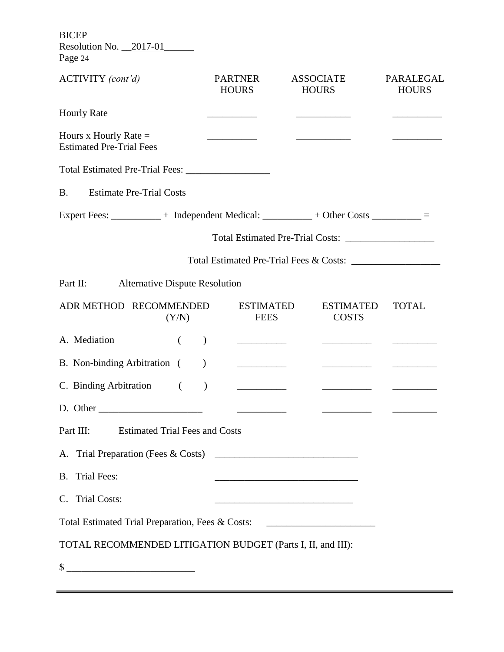BICEP Resolution No. 2017-01

Page 24

| ACTIVITY (cont'd)                                                                  | <b>PARTNER</b><br><b>HOURS</b>                   | <b>ASSOCIATE</b><br><b>HOURS</b>                                                                                       | PARALEGAL<br><b>HOURS</b> |
|------------------------------------------------------------------------------------|--------------------------------------------------|------------------------------------------------------------------------------------------------------------------------|---------------------------|
| <b>Hourly Rate</b>                                                                 |                                                  |                                                                                                                        |                           |
| Hours x Hourly Rate $=$<br><b>Estimated Pre-Trial Fees</b>                         |                                                  |                                                                                                                        |                           |
|                                                                                    |                                                  |                                                                                                                        |                           |
| <b>Estimate Pre-Trial Costs</b><br><b>B.</b>                                       |                                                  |                                                                                                                        |                           |
| Expert Fees: ___________ + Independent Medical: _________ + Other Costs ________ = |                                                  |                                                                                                                        |                           |
|                                                                                    |                                                  | Total Estimated Pre-Trial Costs:                                                                                       |                           |
|                                                                                    |                                                  | Total Estimated Pre-Trial Fees & Costs:                                                                                |                           |
| <b>Alternative Dispute Resolution</b><br>Part II:                                  |                                                  |                                                                                                                        |                           |
| ADR METHOD RECOMMENDED<br>(Y/N)                                                    | <b>ESTIMATED</b><br><b>FEES</b>                  | <b>ESTIMATED</b><br><b>COSTS</b>                                                                                       | <b>TOTAL</b>              |
| A. Mediation<br>$\left($                                                           | $\mathcal{E}$<br><u> The Common State Common</u> |                                                                                                                        |                           |
| B. Non-binding Arbitration (                                                       |                                                  |                                                                                                                        |                           |
| C. Binding Arbitration (                                                           | <u> Alban Maria III.</u><br>$\mathcal{E}$        |                                                                                                                        |                           |
| D. Other                                                                           |                                                  |                                                                                                                        |                           |
| Part III:<br><b>Estimated Trial Fees and Costs</b>                                 |                                                  |                                                                                                                        |                           |
|                                                                                    |                                                  |                                                                                                                        |                           |
| <b>B.</b> Trial Fees:                                                              |                                                  | <u> 1989 - Johann John Harry Harry Harry Harry Harry Harry Harry Harry Harry Harry Harry Harry Harry Harry Harry H</u> |                           |
| C. Trial Costs:                                                                    |                                                  |                                                                                                                        |                           |
| Total Estimated Trial Preparation, Fees & Costs: _______________________________   |                                                  |                                                                                                                        |                           |
| TOTAL RECOMMENDED LITIGATION BUDGET (Parts I, II, and III):                        |                                                  |                                                                                                                        |                           |
| \$                                                                                 |                                                  |                                                                                                                        |                           |

 $=$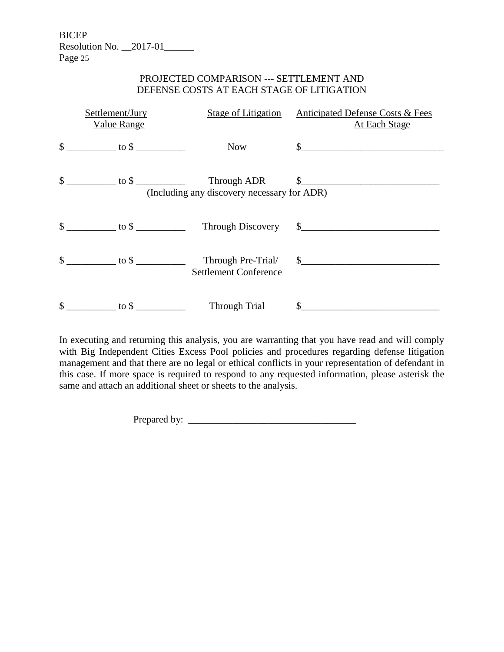BICEP Resolution No. \_\_2017-01\_\_\_\_\_\_ Page 25

## PROJECTED COMPARISON --- SETTLEMENT AND DEFENSE COSTS AT EACH STAGE OF LITIGATION

| Settlement/Jury<br>Value Range                                                                             | <b>Stage of Litigation</b>                         | <b>Anticipated Defense Costs &amp; Fees</b><br><b>At Each Stage</b> |
|------------------------------------------------------------------------------------------------------------|----------------------------------------------------|---------------------------------------------------------------------|
| $\frac{\text{S}}{\text{S}}$ to $\frac{\text{S}}{\text{S}}$ to $\frac{\text{S}}{\text{S}}$                  | <b>Now</b>                                         | $\sim$                                                              |
|                                                                                                            | (Including any discovery necessary for ADR)        | Through ADR \$                                                      |
| $\frac{\text{S}}{\text{S}}$ to $\frac{\text{S}}{\text{S}}$ to $\frac{\text{S}}{\text{S}}$                  |                                                    |                                                                     |
| $\frac{\text{}}{\text{}}$ $\frac{\text{}}{\text{}}$ to $\frac{\text{}}{\text{}}$ $\frac{\text{}}{\text{}}$ | Through Pre-Trial/<br><b>Settlement Conference</b> | $\frac{1}{2}$                                                       |
| \$<br>$\frac{1}{2}$ to \$                                                                                  | Through Trial                                      | $\mathbb{S}^-$                                                      |

In executing and returning this analysis, you are warranting that you have read and will comply with Big Independent Cities Excess Pool policies and procedures regarding defense litigation management and that there are no legal or ethical conflicts in your representation of defendant in this case. If more space is required to respond to any requested information, please asterisk the same and attach an additional sheet or sheets to the analysis.

Prepared by: \_\_\_\_\_\_\_\_\_\_\_\_\_\_\_\_\_\_\_\_\_\_\_\_\_\_\_\_\_\_\_\_\_\_